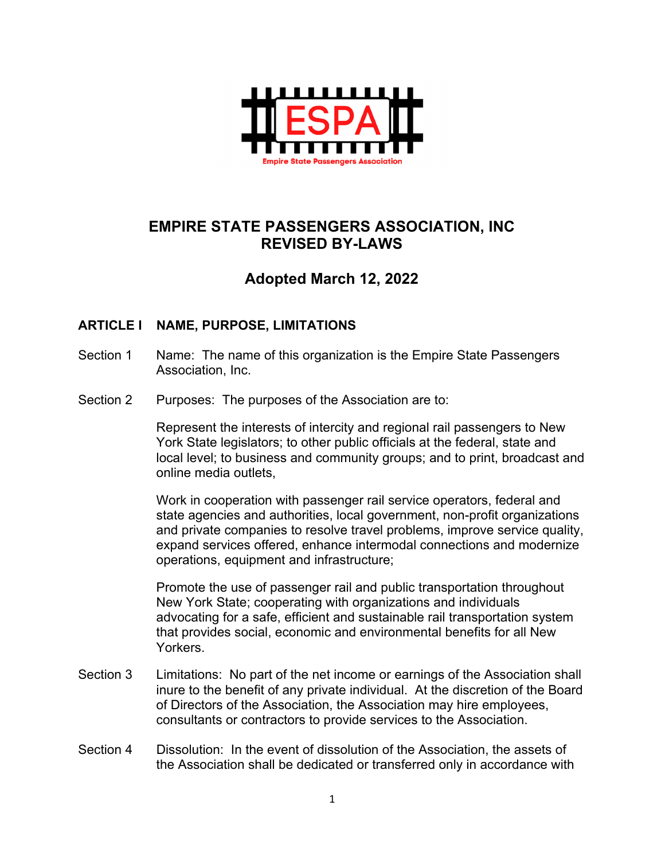

# **EMPIRE STATE PASSENGERS ASSOCIATION, INC REVISED BY-LAWS**

# **Adopted March 12, 2022**

## **ARTICLE I NAME, PURPOSE, LIMITATIONS**

- Section 1 Name: The name of this organization is the Empire State Passengers Association, Inc.
- Section 2 Purposes: The purposes of the Association are to:

Represent the interests of intercity and regional rail passengers to New York State legislators; to other public officials at the federal, state and local level; to business and community groups; and to print, broadcast and online media outlets,

Work in cooperation with passenger rail service operators, federal and state agencies and authorities, local government, non-profit organizations and private companies to resolve travel problems, improve service quality, expand services offered, enhance intermodal connections and modernize operations, equipment and infrastructure;

Promote the use of passenger rail and public transportation throughout New York State; cooperating with organizations and individuals advocating for a safe, efficient and sustainable rail transportation system that provides social, economic and environmental benefits for all New Yorkers.

- Section 3 Limitations: No part of the net income or earnings of the Association shall inure to the benefit of any private individual. At the discretion of the Board of Directors of the Association, the Association may hire employees, consultants or contractors to provide services to the Association.
- Section 4 Dissolution: In the event of dissolution of the Association, the assets of the Association shall be dedicated or transferred only in accordance with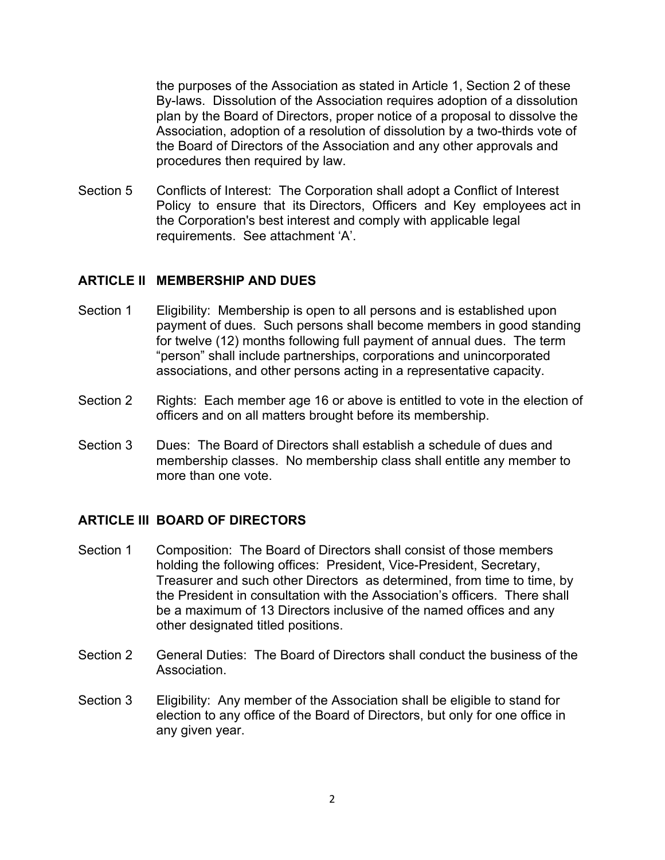the purposes of the Association as stated in Article 1, Section 2 of these By-laws. Dissolution of the Association requires adoption of a dissolution plan by the Board of Directors, proper notice of a proposal to dissolve the Association, adoption of a resolution of dissolution by a two-thirds vote of the Board of Directors of the Association and any other approvals and procedures then required by law.

Section 5 Conflicts of Interest: The Corporation shall adopt a Conflict of Interest Policy to ensure that its Directors, Officers and Key employees act in the Corporation's best interest and comply with applicable legal requirements. See attachment 'A'.

### **ARTICLE II MEMBERSHIP AND DUES**

- Section 1 Eligibility: Membership is open to all persons and is established upon payment of dues. Such persons shall become members in good standing for twelve (12) months following full payment of annual dues. The term "person" shall include partnerships, corporations and unincorporated associations, and other persons acting in a representative capacity.
- Section 2 Rights: Each member age 16 or above is entitled to vote in the election of officers and on all matters brought before its membership.
- Section 3 Dues: The Board of Directors shall establish a schedule of dues and membership classes. No membership class shall entitle any member to more than one vote.

### **ARTICLE III BOARD OF DIRECTORS**

- Section 1 Composition: The Board of Directors shall consist of those members holding the following offices: President, Vice-President, Secretary, Treasurer and such other Directors as determined, from time to time, by the President in consultation with the Association's officers. There shall be a maximum of 13 Directors inclusive of the named offices and any other designated titled positions.
- Section 2 General Duties: The Board of Directors shall conduct the business of the Association.
- Section 3 Eligibility: Any member of the Association shall be eligible to stand for election to any office of the Board of Directors, but only for one office in any given year.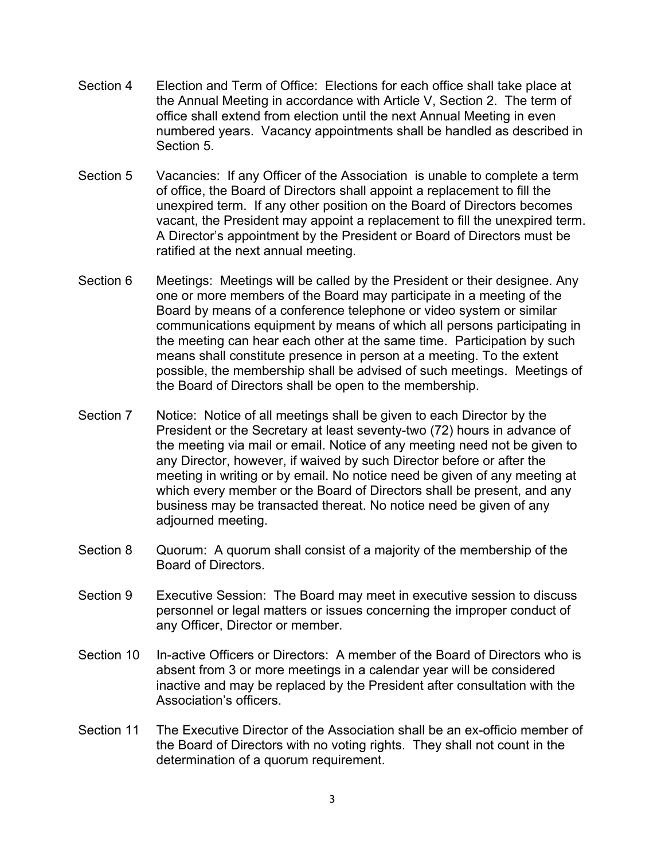- Section 4 Election and Term of Office: Elections for each office shall take place at the Annual Meeting in accordance with Article V, Section 2. The term of office shall extend from election until the next Annual Meeting in even numbered years. Vacancy appointments shall be handled as described in Section 5.
- Section 5 Vacancies: If any Officer of the Association is unable to complete a term of office, the Board of Directors shall appoint a replacement to fill the unexpired term. If any other position on the Board of Directors becomes vacant, the President may appoint a replacement to fill the unexpired term. A Director's appointment by the President or Board of Directors must be ratified at the next annual meeting.
- Section 6 Meetings: Meetings will be called by the President or their designee. Any one or more members of the Board may participate in a meeting of the Board by means of a conference telephone or video system or similar communications equipment by means of which all persons participating in the meeting can hear each other at the same time. Participation by such means shall constitute presence in person at a meeting. To the extent possible, the membership shall be advised of such meetings. Meetings of the Board of Directors shall be open to the membership.
- Section 7 Notice: Notice of all meetings shall be given to each Director by the President or the Secretary at least seventy-two (72) hours in advance of the meeting via mail or email. Notice of any meeting need not be given to any Director, however, if waived by such Director before or after the meeting in writing or by email. No notice need be given of any meeting at which every member or the Board of Directors shall be present, and any business may be transacted thereat. No notice need be given of any adjourned meeting.
- Section 8 Quorum: A quorum shall consist of a majority of the membership of the Board of Directors.
- Section 9 Executive Session: The Board may meet in executive session to discuss personnel or legal matters or issues concerning the improper conduct of any Officer, Director or member.
- Section 10 In-active Officers or Directors: A member of the Board of Directors who is absent from 3 or more meetings in a calendar year will be considered inactive and may be replaced by the President after consultation with the Association's officers.
- Section 11 The Executive Director of the Association shall be an ex-officio member of the Board of Directors with no voting rights. They shall not count in the determination of a quorum requirement.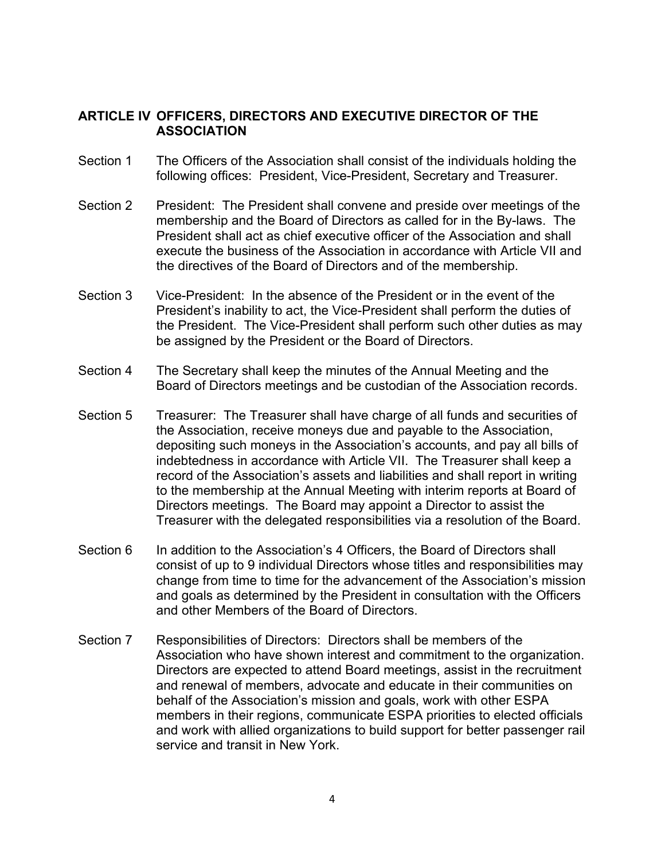### **ARTICLE IV OFFICERS, DIRECTORS AND EXECUTIVE DIRECTOR OF THE ASSOCIATION**

- Section 1 The Officers of the Association shall consist of the individuals holding the following offices: President, Vice-President, Secretary and Treasurer.
- Section 2 President: The President shall convene and preside over meetings of the membership and the Board of Directors as called for in the By-laws. The President shall act as chief executive officer of the Association and shall execute the business of the Association in accordance with Article VII and the directives of the Board of Directors and of the membership.
- Section 3 Vice-President: In the absence of the President or in the event of the President's inability to act, the Vice-President shall perform the duties of the President. The Vice-President shall perform such other duties as may be assigned by the President or the Board of Directors.
- Section 4 The Secretary shall keep the minutes of the Annual Meeting and the Board of Directors meetings and be custodian of the Association records.
- Section 5 Treasurer: The Treasurer shall have charge of all funds and securities of the Association, receive moneys due and payable to the Association, depositing such moneys in the Association's accounts, and pay all bills of indebtedness in accordance with Article VII. The Treasurer shall keep a record of the Association's assets and liabilities and shall report in writing to the membership at the Annual Meeting with interim reports at Board of Directors meetings. The Board may appoint a Director to assist the Treasurer with the delegated responsibilities via a resolution of the Board.
- Section 6 In addition to the Association's 4 Officers, the Board of Directors shall consist of up to 9 individual Directors whose titles and responsibilities may change from time to time for the advancement of the Association's mission and goals as determined by the President in consultation with the Officers and other Members of the Board of Directors.
- Section 7 Responsibilities of Directors: Directors shall be members of the Association who have shown interest and commitment to the organization. Directors are expected to attend Board meetings, assist in the recruitment and renewal of members, advocate and educate in their communities on behalf of the Association's mission and goals, work with other ESPA members in their regions, communicate ESPA priorities to elected officials and work with allied organizations to build support for better passenger rail service and transit in New York.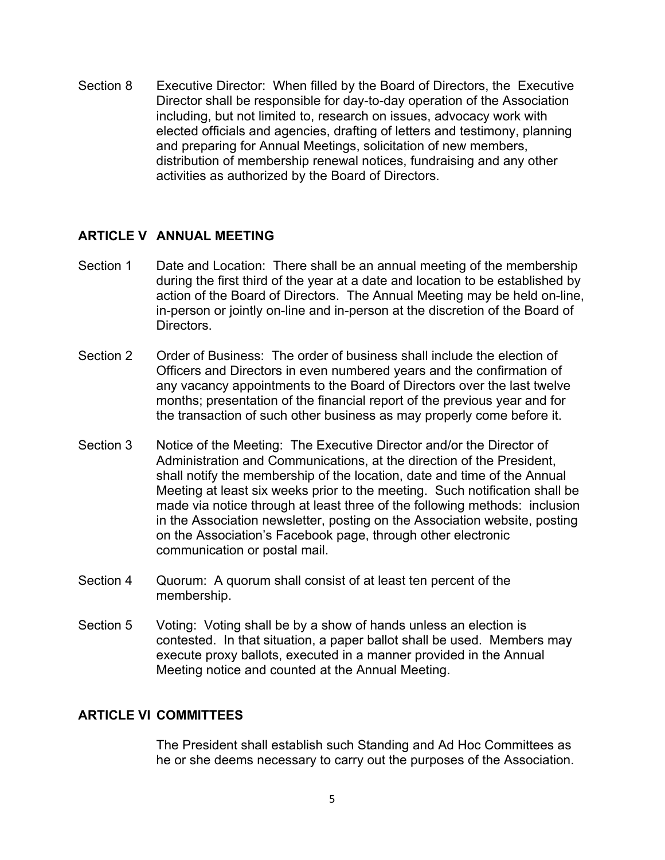Section 8 Executive Director: When filled by the Board of Directors, the Executive Director shall be responsible for day-to-day operation of the Association including, but not limited to, research on issues, advocacy work with elected officials and agencies, drafting of letters and testimony, planning and preparing for Annual Meetings, solicitation of new members, distribution of membership renewal notices, fundraising and any other activities as authorized by the Board of Directors.

### **ARTICLE V ANNUAL MEETING**

- Section 1 Date and Location: There shall be an annual meeting of the membership during the first third of the year at a date and location to be established by action of the Board of Directors. The Annual Meeting may be held on-line, in-person or jointly on-line and in-person at the discretion of the Board of Directors.
- Section 2 Order of Business: The order of business shall include the election of Officers and Directors in even numbered years and the confirmation of any vacancy appointments to the Board of Directors over the last twelve months; presentation of the financial report of the previous year and for the transaction of such other business as may properly come before it.
- Section 3 Notice of the Meeting: The Executive Director and/or the Director of Administration and Communications, at the direction of the President, shall notify the membership of the location, date and time of the Annual Meeting at least six weeks prior to the meeting. Such notification shall be made via notice through at least three of the following methods: inclusion in the Association newsletter, posting on the Association website, posting on the Association's Facebook page, through other electronic communication or postal mail.
- Section 4 Quorum: A quorum shall consist of at least ten percent of the membership.
- Section 5 Voting: Voting shall be by a show of hands unless an election is contested. In that situation, a paper ballot shall be used. Members may execute proxy ballots, executed in a manner provided in the Annual Meeting notice and counted at the Annual Meeting.

### **ARTICLE VI COMMITTEES**

The President shall establish such Standing and Ad Hoc Committees as he or she deems necessary to carry out the purposes of the Association.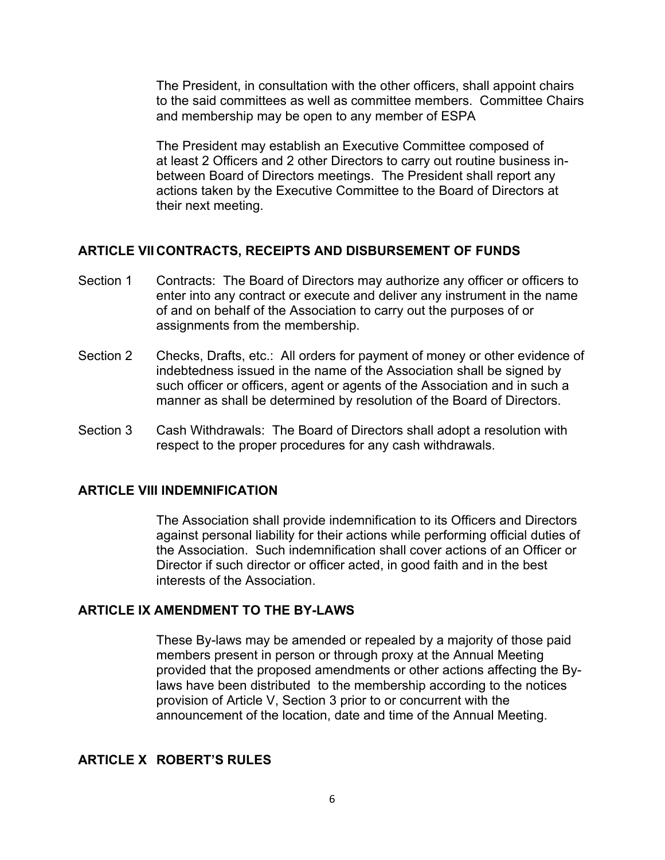The President, in consultation with the other officers, shall appoint chairs to the said committees as well as committee members. Committee Chairs and membership may be open to any member of ESPA

The President may establish an Executive Committee composed of at least 2 Officers and 2 other Directors to carry out routine business inbetween Board of Directors meetings. The President shall report any actions taken by the Executive Committee to the Board of Directors at their next meeting.

#### **ARTICLE VII CONTRACTS, RECEIPTS AND DISBURSEMENT OF FUNDS**

- Section 1 Contracts: The Board of Directors may authorize any officer or officers to enter into any contract or execute and deliver any instrument in the name of and on behalf of the Association to carry out the purposes of or assignments from the membership.
- Section 2 Checks, Drafts, etc.: All orders for payment of money or other evidence of indebtedness issued in the name of the Association shall be signed by such officer or officers, agent or agents of the Association and in such a manner as shall be determined by resolution of the Board of Directors.
- Section 3 Cash Withdrawals: The Board of Directors shall adopt a resolution with respect to the proper procedures for any cash withdrawals.

#### **ARTICLE VIII INDEMNIFICATION**

The Association shall provide indemnification to its Officers and Directors against personal liability for their actions while performing official duties of the Association. Such indemnification shall cover actions of an Officer or Director if such director or officer acted, in good faith and in the best interests of the Association.

#### **ARTICLE IX AMENDMENT TO THE BY-LAWS**

These By-laws may be amended or repealed by a majority of those paid members present in person or through proxy at the Annual Meeting provided that the proposed amendments or other actions affecting the Bylaws have been distributed to the membership according to the notices provision of Article V, Section 3 prior to or concurrent with the announcement of the location, date and time of the Annual Meeting.

# **ARTICLE X ROBERT'S RULES**